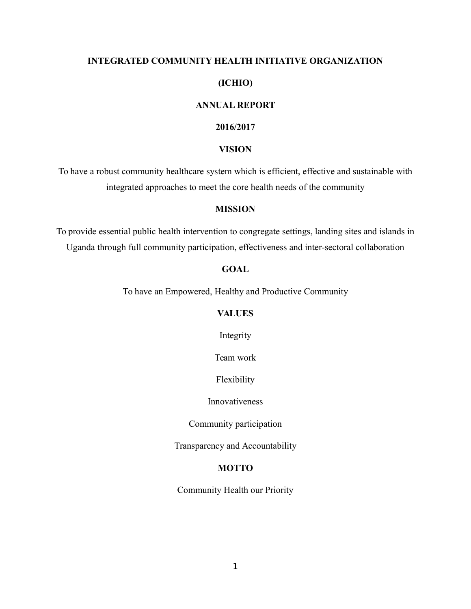#### **INTEGRATED COMMUNITY HEALTH INITIATIVE ORGANIZATION**

# **(ICHIO)**

#### **ANNUAL REPORT**

#### **2016/2017**

#### **VISION**

To have a robust community healthcare system which is efficient, effective and sustainable with integrated approaches to meet the core health needs of the community

#### **MISSION**

To provide essential public health intervention to congregate settings, landing sites and islands in Uganda through full community participation, effectiveness and inter-sectoral collaboration

#### **GOAL**

To have an Empowered, Healthy and Productive Community

### **VALUES**

Integrity

Team work

Flexibility

Innovativeness

Community participation

Transparency and Accountability

#### <span id="page-0-0"></span>**MOTTO**

Community Health our Priority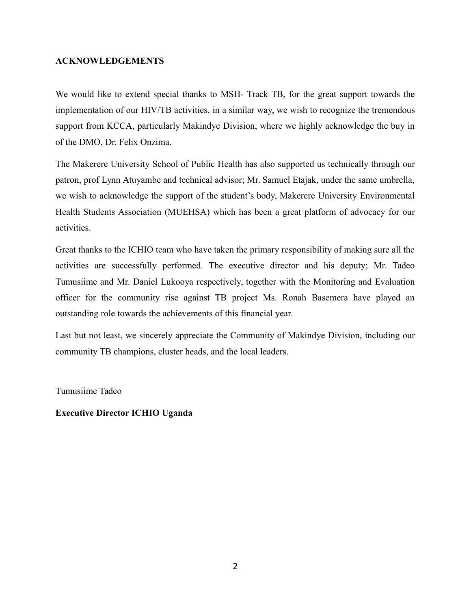### **ACKNOWLEDGEMENTS**

We would like to extend special thanks to MSH- Track TB, for the great support towards the implementation of our HIV/TB activities, in a similar way, we wish to recognize the tremendous support from KCCA, particularly Makindye Division, where we highly acknowledge the buy in of the DMO, Dr. Felix Onzima.

The Makerere University School of Public Health has also supported us technically through our patron, prof Lynn Atuyambe and technical advisor; Mr. Samuel Etajak, under the same umbrella, we wish to acknowledge the support of the student's body, Makerere University Environmental Health Students Association (MUEHSA) which has been a great platform of advocacy for our activities.

Great thanks to the ICHIO team who have taken the primary responsibility of making sure all the activities are successfully performed. The executive director and his deputy; Mr. Tadeo Tumusiime and Mr. Daniel Lukooya respectively, together with the Monitoring and Evaluation officer for the community rise against TB project Ms. Ronah Basemera have played an outstanding role towards the achievements of this financial year.

Last but not least, we sincerely appreciate the Community of Makindye Division, including our community TB champions, cluster heads, and the local leaders.

Tumusiime Tadeo

### **Executive Director ICHIO Uganda**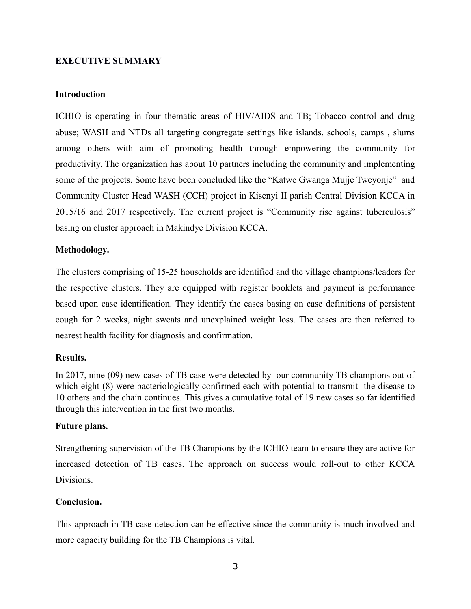## <span id="page-2-0"></span>**EXECUTIVE SUMMARY**

### **Introduction**

ICHIO is operating in four thematic areas of HIV/AIDS and TB; Tobacco control and drug abuse; WASH and NTDs all targeting congregate settings like islands, schools, camps , slums among others with aim of promoting health through empowering the community for productivity. The organization has about 10 partners including the community and implementing some of the projects. Some have been concluded like the "Katwe Gwanga Mujje Tweyonje" and Community Cluster Head WASH (CCH) project in Kisenyi II parish Central Division KCCA in 2015/16 and 2017 respectively. The current project is "Community rise against tuberculosis" basing on cluster approach in Makindye Division KCCA.

### **Methodology.**

The clusters comprising of 15-25 households are identified and the village champions/leaders for the respective clusters. They are equipped with register booklets and payment is performance based upon case identification. They identify the cases basing on case definitions of persistent cough for 2 weeks, night sweats and unexplained weight loss. The cases are then referred to nearest health facility for diagnosis and confirmation.

#### **Results.**

In 2017, nine (09) new cases of TB case were detected by our community TB champions out of which eight (8) were bacteriologically confirmed each with potential to transmit the disease to 10 others and the chain continues. This gives a cumulative total of 19 new cases so far identified through this intervention in the first two months.

#### **Future plans.**

Strengthening supervision of the TB Champions by the ICHIO team to ensure they are active for increased detection of TB cases. The approach on success would roll-out to other KCCA Divisions.

### **Conclusion.**

<span id="page-2-1"></span>This approach in TB case detection can be effective since the community is much involved and more capacity building for the TB Champions is vital.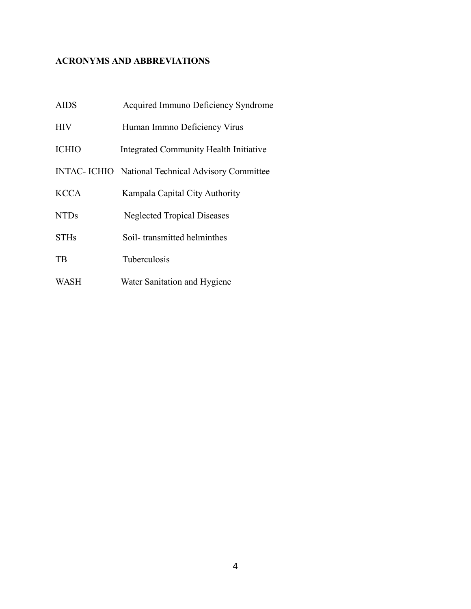# **ACRONYMS AND ABBREVIATIONS**

| <b>AIDS</b>  | Acquired Immuno Deficiency Syndrome                |  |  |  |  |
|--------------|----------------------------------------------------|--|--|--|--|
| <b>HIV</b>   | Human Immno Deficiency Virus                       |  |  |  |  |
| <b>ICHIO</b> | Integrated Community Health Initiative             |  |  |  |  |
|              | INTAC- ICHIO National Technical Advisory Committee |  |  |  |  |
| <b>KCCA</b>  | Kampala Capital City Authority                     |  |  |  |  |
| <b>NTDs</b>  | <b>Neglected Tropical Diseases</b>                 |  |  |  |  |
| <b>STHs</b>  | Soil-transmitted helminthes                        |  |  |  |  |
| TB           | <b>Tuberculosis</b>                                |  |  |  |  |
| <b>WASH</b>  | Water Sanitation and Hygiene                       |  |  |  |  |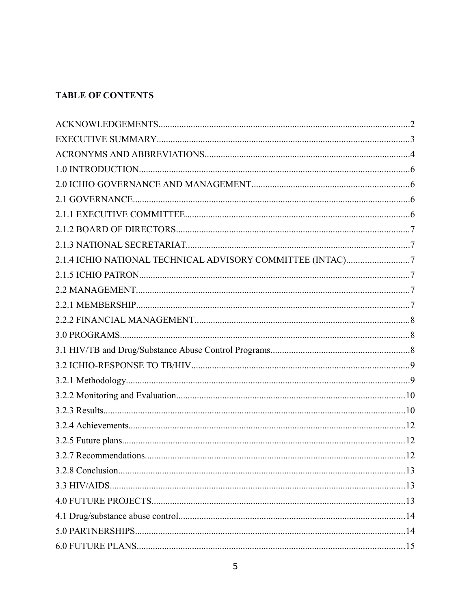# **TABLE OF CONTENTS**

<span id="page-4-0"></span>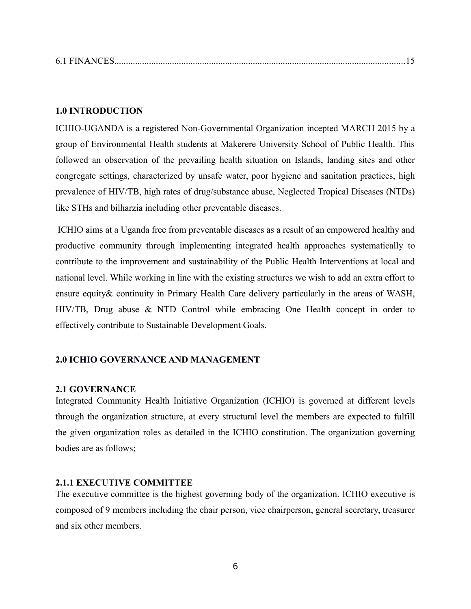<span id="page-5-4"></span>

|--|

### <span id="page-5-0"></span>**1.0 INTRODUCTION**

ICHIO-UGANDA is a registered Non-Governmental Organization incepted MARCH 2015 by a group of Environmental Health students at Makerere University School of Public Health. This followed an observation of the prevailing health situation on Islands, landing sites and other congregate settings, characterized by unsafe water, poor hygiene and sanitation practices, high prevalence of HIV/TB, high rates of drug/substance abuse, Neglected Tropical Diseases (NTDs) like STHs and bilharzia including other preventable diseases.

 ICHIO aims at a Uganda free from preventable diseases as a result of an empowered healthy and productive community through implementing integrated health approaches systematically to contribute to the improvement and sustainability of the Public Health Interventions at local and national level. While working in line with the existing structures we wish to add an extra effort to ensure equity& continuity in Primary Health Care delivery particularly in the areas of WASH, HIV/TB, Drug abuse & NTD Control while embracing One Health concept in order to effectively contribute to Sustainable Development Goals.

#### <span id="page-5-1"></span>**2.0 ICHIO GOVERNANCE AND MANAGEMENT**

#### <span id="page-5-2"></span>**2.1 GOVERNANCE**

Integrated Community Health Initiative Organization (ICHIO) is governed at different levels through the organization structure, at every structural level the members are expected to fulfill the given organization roles as detailed in the ICHIO constitution. The organization governing bodies are as follows;

### <span id="page-5-3"></span>**2.1.1 EXECUTIVE COMMITTEE**

The executive committee is the highest governing body of the organization. ICHIO executive is composed of 9 members including the chair person, vice chairperson, general secretary, treasurer and six other members.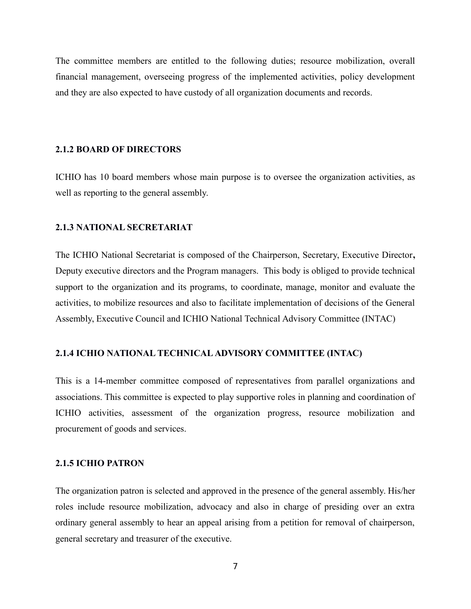The committee members are entitled to the following duties; resource mobilization, overall financial management, overseeing progress of the implemented activities, policy development and they are also expected to have custody of all organization documents and records.

#### <span id="page-6-0"></span>**2.1.2 BOARD OF DIRECTORS**

ICHIO has 10 board members whose main purpose is to oversee the organization activities, as well as reporting to the general assembly.

#### <span id="page-6-1"></span>**2.1.3 NATIONAL SECRETARIAT**

The ICHIO National Secretariat is composed of the Chairperson, Secretary, Executive Director**,** Deputy executive directors and the Program managers. This body is obliged to provide technical support to the organization and its programs, to coordinate, manage, monitor and evaluate the activities, to mobilize resources and also to facilitate implementation of decisions of the General Assembly, Executive Council and ICHIO National Technical Advisory Committee (INTAC)

#### <span id="page-6-2"></span>**2.1.4 ICHIO NATIONAL TECHNICAL ADVISORY COMMITTEE (INTAC)**

This is a 14-member committee composed of representatives from parallel organizations and associations. This committee is expected to play supportive roles in planning and coordination of ICHIO activities, assessment of the organization progress, resource mobilization and procurement of goods and services.

### <span id="page-6-3"></span>**2.1.5 ICHIO PATRON**

The organization patron is selected and approved in the presence of the general assembly. His/her roles include resource mobilization, advocacy and also in charge of presiding over an extra ordinary general assembly to hear an appeal arising from a petition for removal of chairperson, general secretary and treasurer of the executive.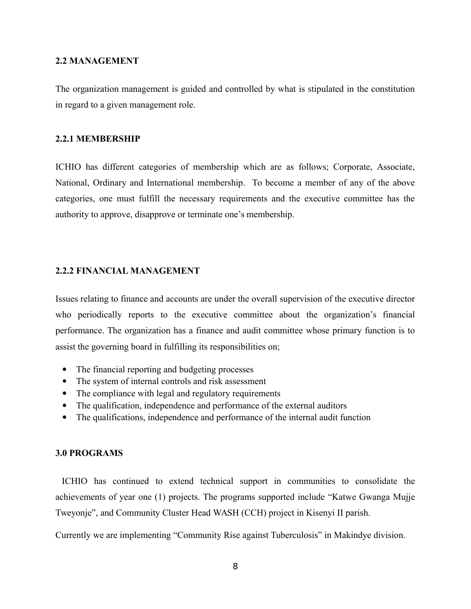#### <span id="page-7-0"></span>**2.2 MANAGEMENT**

The organization management is guided and controlled by what is stipulated in the constitution in regard to a given management role.

#### <span id="page-7-1"></span>**2.2.1 MEMBERSHIP**

ICHIO has different categories of membership which are as follows; Corporate, Associate, National, Ordinary and International membership. To become a member of any of the above categories, one must fulfill the necessary requirements and the executive committee has the authority to approve, disapprove or terminate one's membership.

#### <span id="page-7-2"></span>**2.2.2 FINANCIAL MANAGEMENT**

Issues relating to finance and accounts are under the overall supervision of the executive director who periodically reports to the executive committee about the organization's financial performance. The organization has a finance and audit committee whose primary function is to assist the governing board in fulfilling its responsibilities on;

- The financial reporting and budgeting processes
- The system of internal controls and risk assessment
- The compliance with legal and regulatory requirements
- The qualification, independence and performance of the external auditors
- The qualifications, independence and performance of the internal audit function

#### <span id="page-7-3"></span>**3.0 PROGRAMS**

 ICHIO has continued to extend technical support in communities to consolidate the achievements of year one (1) projects. The programs supported include "Katwe Gwanga Mujje Tweyonje", and Community Cluster Head WASH (CCH) project in Kisenyi II parish.

Currently we are implementing "Community Rise against Tuberculosis" in Makindye division.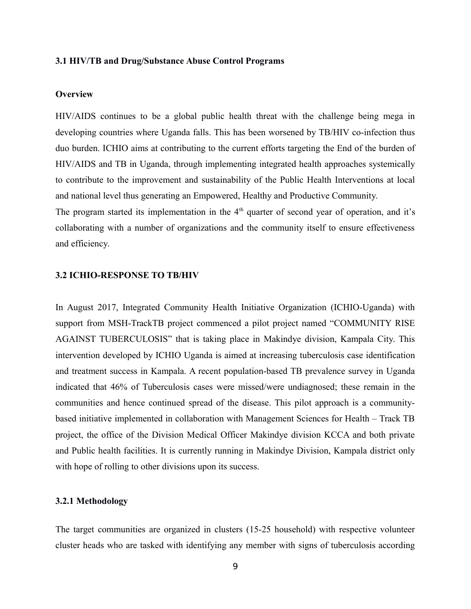#### <span id="page-8-0"></span>**3.1 HIV/TB and Drug/Substance Abuse Control Programs**

#### **Overview**

HIV/AIDS continues to be a global public health threat with the challenge being mega in developing countries where Uganda falls. This has been worsened by TB/HIV co-infection thus duo burden. ICHIO aims at contributing to the current efforts targeting the End of the burden of HIV/AIDS and TB in Uganda, through implementing integrated health approaches systemically to contribute to the improvement and sustainability of the Public Health Interventions at local and national level thus generating an Empowered, Healthy and Productive Community.

<span id="page-8-1"></span>The program started its implementation in the  $4<sup>th</sup>$  quarter of second year of operation, and it's collaborating with a number of organizations and the community itself to ensure effectiveness and efficiency.

### **3.2 ICHIO-RESPONSE TO TB/HIV**

In August 2017, Integrated Community Health Initiative Organization (ICHIO-Uganda) with support from MSH-TrackTB project commenced a pilot project named "COMMUNITY RISE AGAINST TUBERCULOSIS" that is taking place in Makindye division, Kampala City. This intervention developed by ICHIO Uganda is aimed at increasing tuberculosis case identification and treatment success in Kampala. A recent population-based TB prevalence survey in Uganda indicated that 46% of Tuberculosis cases were missed/were undiagnosed; these remain in the communities and hence continued spread of the disease. This pilot approach is a communitybased initiative implemented in collaboration with Management Sciences for Health – Track TB project, the office of the Division Medical Officer Makindye division KCCA and both private and Public health facilities. It is currently running in Makindye Division, Kampala district only with hope of rolling to other divisions upon its success.

#### <span id="page-8-2"></span>**3.2.1 Methodology**

The target communities are organized in clusters (15-25 household) with respective volunteer cluster heads who are tasked with identifying any member with signs of tuberculosis according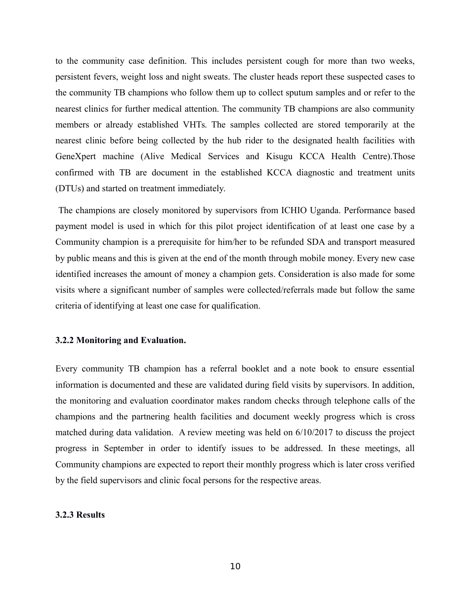to the community case definition. This includes persistent cough for more than two weeks, persistent fevers, weight loss and night sweats. The cluster heads report these suspected cases to the community TB champions who follow them up to collect sputum samples and or refer to the nearest clinics for further medical attention. The community TB champions are also community members or already established VHTs. The samples collected are stored temporarily at the nearest clinic before being collected by the hub rider to the designated health facilities with GeneXpert machine (Alive Medical Services and Kisugu KCCA Health Centre).Those confirmed with TB are document in the established KCCA diagnostic and treatment units (DTUs) and started on treatment immediately.

 The champions are closely monitored by supervisors from ICHIO Uganda. Performance based payment model is used in which for this pilot project identification of at least one case by a Community champion is a prerequisite for him/her to be refunded SDA and transport measured by public means and this is given at the end of the month through mobile money. Every new case identified increases the amount of money a champion gets. Consideration is also made for some visits where a significant number of samples were collected/referrals made but follow the same criteria of identifying at least one case for qualification.

#### <span id="page-9-0"></span>**3.2.2 Monitoring and Evaluation.**

Every community TB champion has a referral booklet and a note book to ensure essential information is documented and these are validated during field visits by supervisors. In addition, the monitoring and evaluation coordinator makes random checks through telephone calls of the champions and the partnering health facilities and document weekly progress which is cross matched during data validation. A review meeting was held on 6/10/2017 to discuss the project progress in September in order to identify issues to be addressed. In these meetings, all Community champions are expected to report their monthly progress which is later cross verified by the field supervisors and clinic focal persons for the respective areas.

#### <span id="page-9-1"></span>**3.2.3 Results**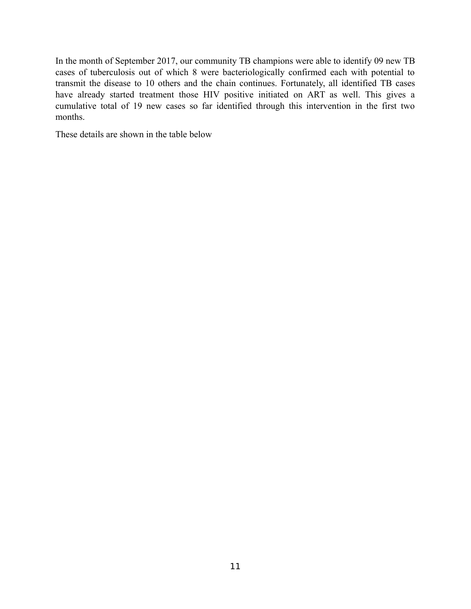In the month of September 2017, our community TB champions were able to identify 09 new TB cases of tuberculosis out of which 8 were bacteriologically confirmed each with potential to transmit the disease to 10 others and the chain continues. Fortunately, all identified TB cases have already started treatment those HIV positive initiated on ART as well. This gives a cumulative total of 19 new cases so far identified through this intervention in the first two months.

These details are shown in the table below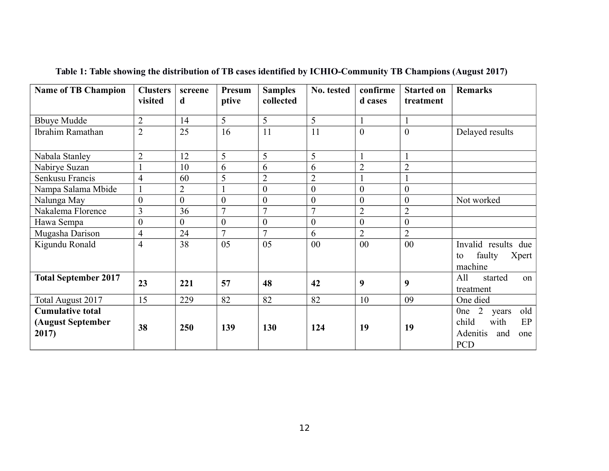| <b>Name of TB Champion</b>                            | <b>Clusters</b><br>visited | screene<br>d   | Presum<br>ptive | <b>Samples</b><br>collected | No. tested     | confirme<br>d cases | <b>Started on</b><br>treatment | <b>Remarks</b>                                                                                                   |
|-------------------------------------------------------|----------------------------|----------------|-----------------|-----------------------------|----------------|---------------------|--------------------------------|------------------------------------------------------------------------------------------------------------------|
| <b>Bbuye Mudde</b>                                    | $\overline{2}$             | 14             | 5               | 5                           | 5              |                     |                                |                                                                                                                  |
| Ibrahim Ramathan                                      | $\overline{2}$             | 25             | 16              | 11                          | 11             | $\overline{0}$      | $\overline{0}$                 | Delayed results                                                                                                  |
| Nabala Stanley                                        | $\overline{2}$             | 12             | 5               | 5                           | 5              |                     |                                |                                                                                                                  |
| Nabirye Suzan                                         |                            | 10             | 6               | 6                           | 6              | $\overline{2}$      | $\overline{2}$                 |                                                                                                                  |
| Senkusu Francis                                       | $\overline{4}$             | 60             | 5               | $\overline{2}$              | $\overline{2}$ |                     |                                |                                                                                                                  |
| Nampa Salama Mbide                                    |                            | $\overline{2}$ |                 | $\theta$                    | $\theta$       | $\overline{0}$      | $\overline{0}$                 |                                                                                                                  |
| Nalunga May                                           | $\boldsymbol{0}$           | $\theta$       | $\overline{0}$  | $\theta$                    | $\overline{0}$ | $\overline{0}$      | $\theta$                       | Not worked                                                                                                       |
| Nakalema Florence                                     | 3                          | 36             | $\overline{7}$  | 7                           | $\overline{7}$ | $\overline{2}$      | $\overline{2}$                 |                                                                                                                  |
| Hawa Sempa                                            | $\boldsymbol{0}$           | $\theta$       | $\overline{0}$  | $\theta$                    | $\overline{0}$ | $\boldsymbol{0}$    | $\overline{0}$                 |                                                                                                                  |
| Mugasha Darison                                       | 4                          | 24             | $\overline{7}$  | $\tau$                      | 6              | $\overline{2}$      | $\overline{2}$                 |                                                                                                                  |
| Kigundu Ronald                                        | $\overline{4}$             | 38             | 05              | 05                          | 00             | 00                  | 00                             | Invalid results<br>due<br>faulty<br>Xpert  <br>to<br>machine                                                     |
| <b>Total September 2017</b>                           | 23                         | 221            | 57              | 48                          | 42             | 9                   | 9                              | All<br>started<br>on<br>treatment                                                                                |
| Total August 2017                                     | 15                         | 229            | 82              | 82                          | 82             | 10                  | 09                             | One died                                                                                                         |
| <b>Cumulative total</b><br>(August September<br>2017) | 38                         | 250            | 139             | 130                         | 124            | 19                  | 19                             | old<br>$\overline{2}$<br>0 <sub>ne</sub><br>years<br>child<br>with<br>EP<br>Adenitis<br>and<br>one<br><b>PCD</b> |

**Table 1: Table showing the distribution of TB cases identified by ICHIO-Community TB Champions (August 2017)**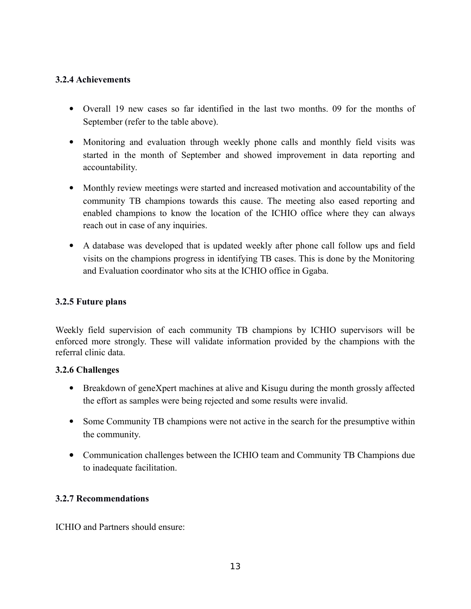## <span id="page-12-0"></span>**3.2.4 Achievements**

- Overall 19 new cases so far identified in the last two months. 09 for the months of September (refer to the table above).
- Monitoring and evaluation through weekly phone calls and monthly field visits was started in the month of September and showed improvement in data reporting and accountability.
- Monthly review meetings were started and increased motivation and accountability of the community TB champions towards this cause. The meeting also eased reporting and enabled champions to know the location of the ICHIO office where they can always reach out in case of any inquiries.
- A database was developed that is updated weekly after phone call follow ups and field visits on the champions progress in identifying TB cases. This is done by the Monitoring and Evaluation coordinator who sits at the ICHIO office in Ggaba.

## <span id="page-12-1"></span>**3.2.5 Future plans**

Weekly field supervision of each community TB champions by ICHIO supervisors will be enforced more strongly. These will validate information provided by the champions with the referral clinic data.

### **3.2.6 Challenges**

- Breakdown of geneXpert machines at alive and Kisugu during the month grossly affected the effort as samples were being rejected and some results were invalid.
- Some Community TB champions were not active in the search for the presumptive within the community.
- Communication challenges between the ICHIO team and Community TB Champions due to inadequate facilitation.

# <span id="page-12-2"></span>**3.2.7 Recommendations**

ICHIO and Partners should ensure: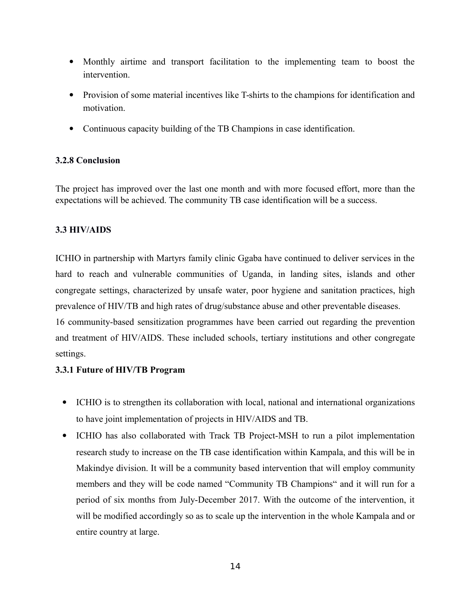- Monthly airtime and transport facilitation to the implementing team to boost the intervention.
- Provision of some material incentives like T-shirts to the champions for identification and motivation.
- Continuous capacity building of the TB Champions in case identification.

# <span id="page-13-0"></span>**3.2.8 Conclusion**

The project has improved over the last one month and with more focused effort, more than the expectations will be achieved. The community TB case identification will be a success.

# <span id="page-13-1"></span>**3.3 HIV/AIDS**

ICHIO in partnership with Martyrs family clinic Ggaba have continued to deliver services in the hard to reach and vulnerable communities of Uganda, in landing sites, islands and other congregate settings, characterized by unsafe water, poor hygiene and sanitation practices, high prevalence of HIV/TB and high rates of drug/substance abuse and other preventable diseases.

16 community-based sensitization programmes have been carried out regarding the prevention and treatment of HIV/AIDS. These included schools, tertiary institutions and other congregate settings.

# **3.3.1 Future of HIV/TB Program**

- ICHIO is to strengthen its collaboration with local, national and international organizations to have joint implementation of projects in HIV/AIDS and TB.
- ICHIO has also collaborated with Track TB Project-MSH to run a pilot implementation research study to increase on the TB case identification within Kampala, and this will be in Makindye division. It will be a community based intervention that will employ community members and they will be code named "Community TB Champions" and it will run for a period of six months from July-December 2017. With the outcome of the intervention, it will be modified accordingly so as to scale up the intervention in the whole Kampala and or entire country at large.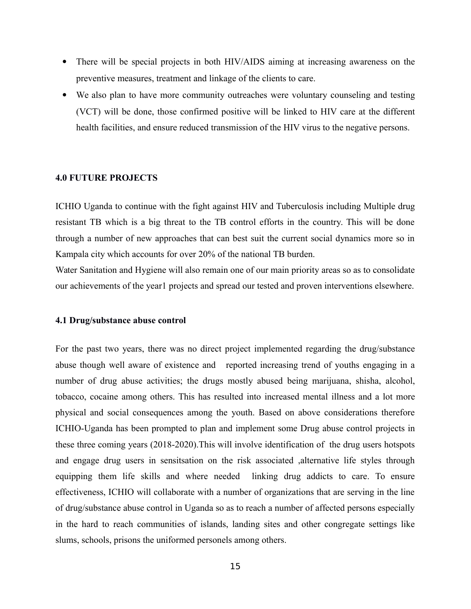- There will be special projects in both HIV/AIDS aiming at increasing awareness on the preventive measures, treatment and linkage of the clients to care.
- We also plan to have more community outreaches were voluntary counseling and testing (VCT) will be done, those confirmed positive will be linked to HIV care at the different health facilities, and ensure reduced transmission of the HIV virus to the negative persons.

#### <span id="page-14-0"></span>**4.0 FUTURE PROJECTS**

ICHIO Uganda to continue with the fight against HIV and Tuberculosis including Multiple drug resistant TB which is a big threat to the TB control efforts in the country. This will be done through a number of new approaches that can best suit the current social dynamics more so in Kampala city which accounts for over 20% of the national TB burden.

Water Sanitation and Hygiene will also remain one of our main priority areas so as to consolidate our achievements of the year1 projects and spread our tested and proven interventions elsewhere.

#### <span id="page-14-1"></span>**4.1 Drug/substance abuse control**

For the past two years, there was no direct project implemented regarding the drug/substance abuse though well aware of existence and reported increasing trend of youths engaging in a number of drug abuse activities; the drugs mostly abused being marijuana, shisha, alcohol, tobacco, cocaine among others. This has resulted into increased mental illness and a lot more physical and social consequences among the youth. Based on above considerations therefore ICHIO-Uganda has been prompted to plan and implement some Drug abuse control projects in these three coming years (2018-2020).This will involve identification of the drug users hotspots and engage drug users in sensitsation on the risk associated ,alternative life styles through equipping them life skills and where needed linking drug addicts to care. To ensure effectiveness, ICHIO will collaborate with a number of organizations that are serving in the line of drug/substance abuse control in Uganda so as to reach a number of affected persons especially in the hard to reach communities of islands, landing sites and other congregate settings like slums, schools, prisons the uniformed personels among others.